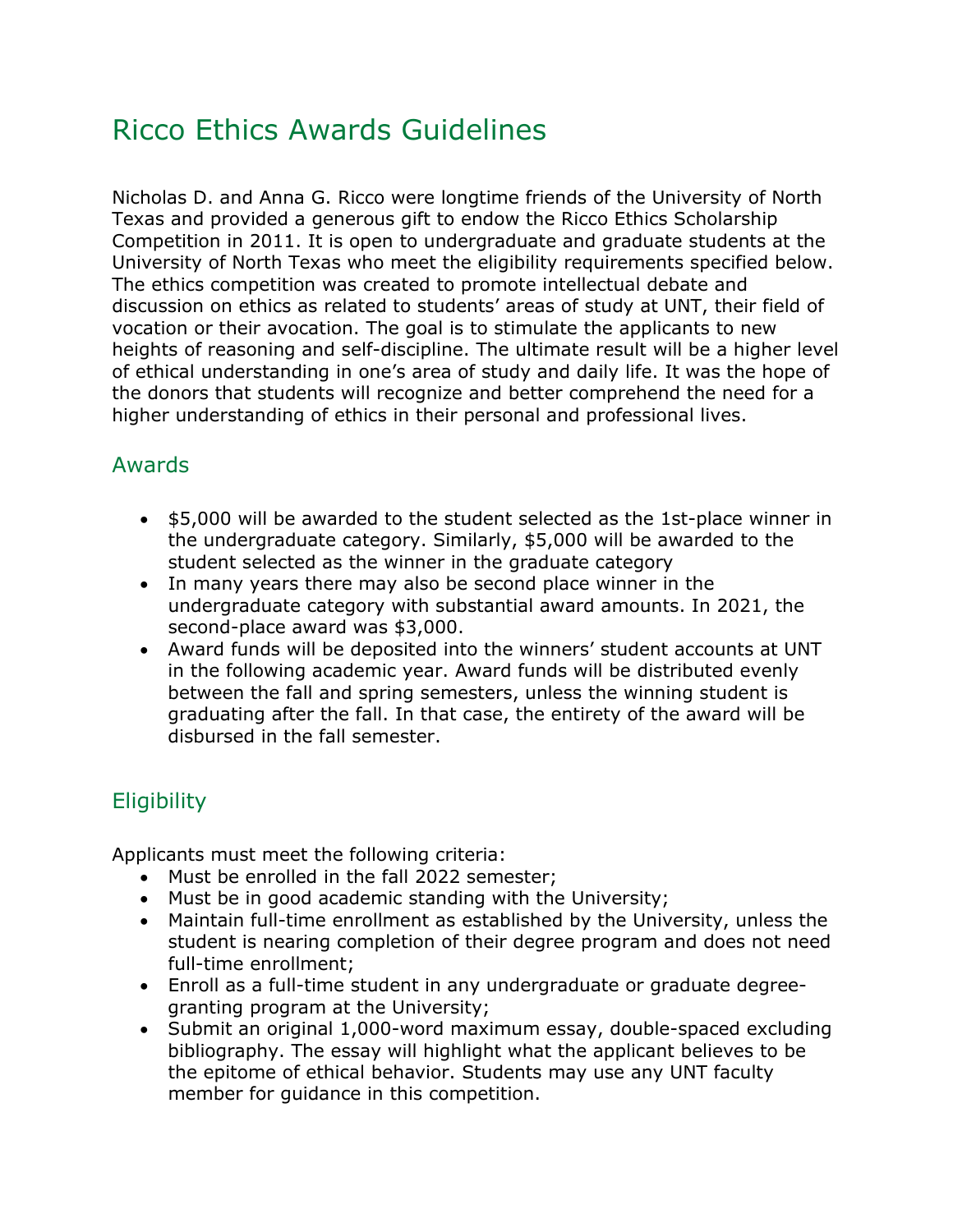# Ricco Ethics Awards Guidelines

Nicholas D. and Anna G. Ricco were longtime friends of the University of North Texas and provided a generous gift to endow the Ricco Ethics Scholarship Competition in 2011. It is open to undergraduate and graduate students at the University of North Texas who meet the eligibility requirements specified below. The ethics competition was created to promote intellectual debate and discussion on ethics as related to students' areas of study at UNT, their field of vocation or their avocation. The goal is to stimulate the applicants to new heights of reasoning and self-discipline. The ultimate result will be a higher level of ethical understanding in one's area of study and daily life. It was the hope of the donors that students will recognize and better comprehend the need for a higher understanding of ethics in their personal and professional lives.

### Awards

- \$5,000 will be awarded to the student selected as the 1st-place winner in the undergraduate category. Similarly, \$5,000 will be awarded to the student selected as the winner in the graduate category
- In many years there may also be second place winner in the undergraduate category with substantial award amounts. In 2021, the second-place award was \$3,000.
- Award funds will be deposited into the winners' student accounts at UNT in the following academic year. Award funds will be distributed evenly between the fall and spring semesters, unless the winning student is graduating after the fall. In that case, the entirety of the award will be disbursed in the fall semester.

## **Eligibility**

Applicants must meet the following criteria:

- Must be enrolled in the fall 2022 semester;
- Must be in good academic standing with the University;
- Maintain full-time enrollment as established by the University, unless the student is nearing completion of their degree program and does not need full-time enrollment;
- Enroll as a full-time student in any undergraduate or graduate degreegranting program at the University;
- Submit an original 1,000-word maximum essay, double-spaced excluding bibliography. The essay will highlight what the applicant believes to be the epitome of ethical behavior. Students may use any UNT faculty member for guidance in this competition.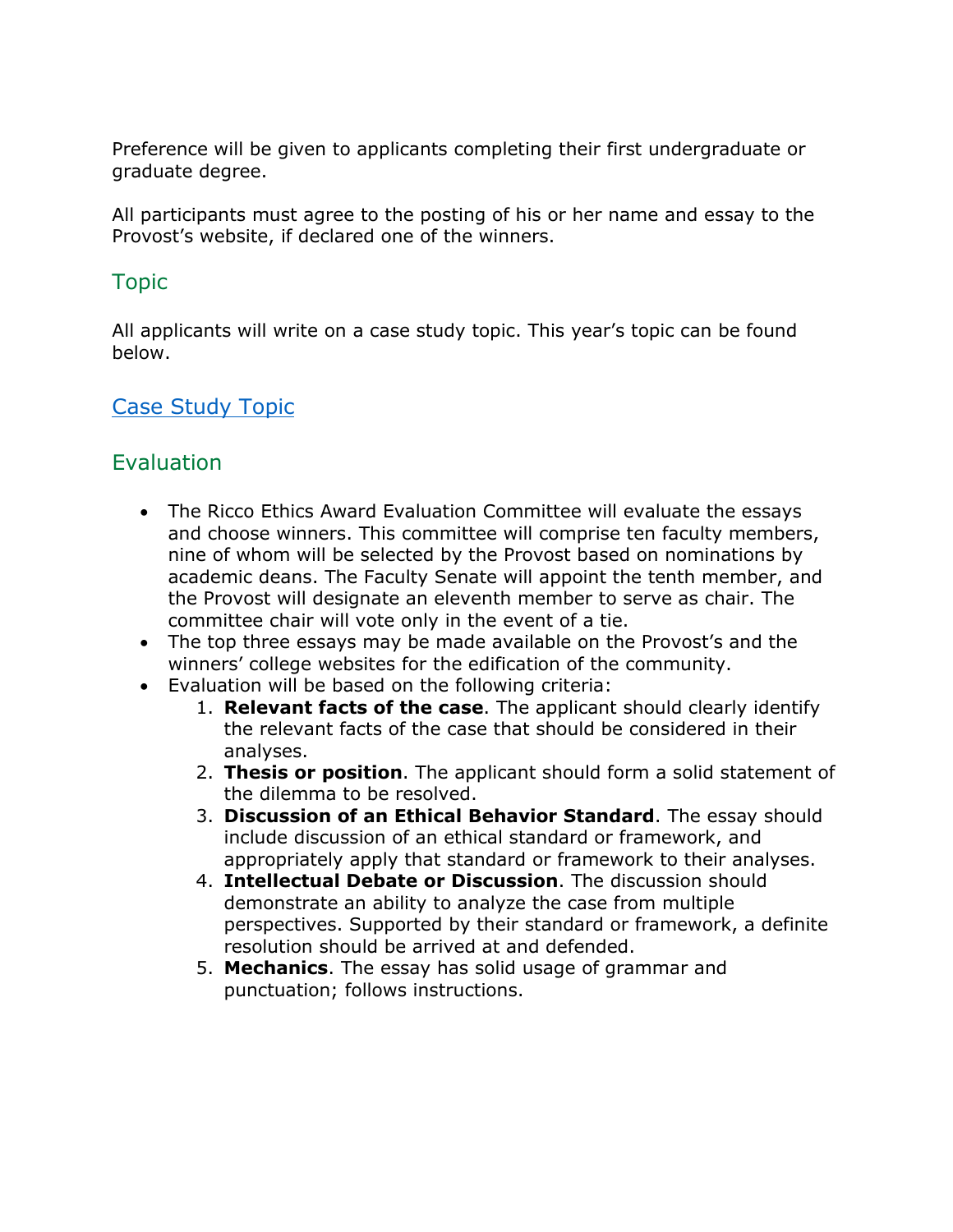Preference will be given to applicants completing their first undergraduate or graduate degree.

All participants must agree to the posting of his or her name and essay to the Provost's website, if declared one of the winners.

#### Topic

All applicants will write on a case study topic. This year's topic can be found below.

#### [Case Study Topic](https://vpaa.unt.edu/file/50848)

#### **Evaluation**

- The Ricco Ethics Award Evaluation Committee will evaluate the essays and choose winners. This committee will comprise ten faculty members, nine of whom will be selected by the Provost based on nominations by academic deans. The Faculty Senate will appoint the tenth member, and the Provost will designate an eleventh member to serve as chair. The committee chair will vote only in the event of a tie.
- The top three essays may be made available on the Provost's and the winners' college websites for the edification of the community.
- Evaluation will be based on the following criteria:
	- 1. **Relevant facts of the case**. The applicant should clearly identify the relevant facts of the case that should be considered in their analyses.
	- 2. **Thesis or position**. The applicant should form a solid statement of the dilemma to be resolved.
	- 3. **Discussion of an Ethical Behavior Standard**. The essay should include discussion of an ethical standard or framework, and appropriately apply that standard or framework to their analyses.
	- 4. **Intellectual Debate or Discussion**. The discussion should demonstrate an ability to analyze the case from multiple perspectives. Supported by their standard or framework, a definite resolution should be arrived at and defended.
	- 5. **Mechanics**. The essay has solid usage of grammar and punctuation; follows instructions.